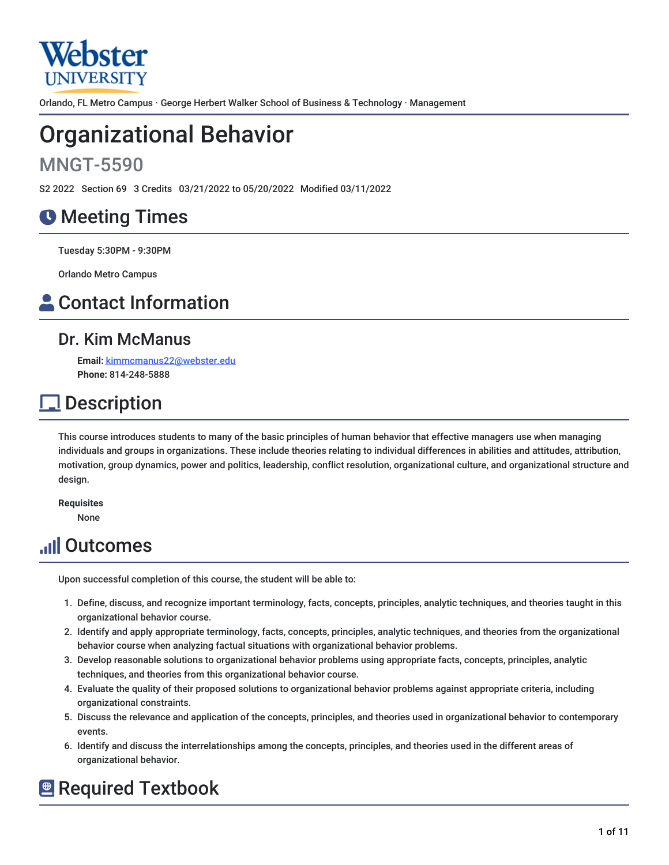

Orlando, FL Metro Campus · George Herbert Walker School of Business & Technology · Management

# Organizational Behavior

## MNGT-5590

S2 2022 Section 69 3 Credits 03/21/2022 to 05/20/2022 Modified 03/11/2022

## **O** Meeting Times

Tuesday 5:30PM - 9:30PM

Orlando Metro Campus

## **A** Contact Information

### Dr. Kim McManus

**Email:** [kimmcmanus22@webster.edu](mailto:kimmcmanus22@webster.edu) **Phone:** 814-248-5888

## **Description**

This course introduces students to many of the basic principles of human behavior that effective managers use when managing individuals and groups in organizations. These include theories relating to individual differences in abilities and attitudes, attribution, motivation, group dynamics, power and politics, leadership, conflict resolution, organizational culture, and organizational structure and design.

**Requisites**

None

## **Juli Outcomes**

Upon successful completion of this course, the student will be able to:

- 1. Define, discuss, and recognize important terminology, facts, concepts, principles, analytic techniques, and theories taught in this organizational behavior course.
- 2. Identify and apply appropriate terminology, facts, concepts, principles, analytic techniques, and theories from the organizational behavior course when analyzing factual situations with organizational behavior problems.
- 3. Develop reasonable solutions to organizational behavior problems using appropriate facts, concepts, principles, analytic techniques, and theories from this organizational behavior course.
- 4. Evaluate the quality of their proposed solutions to organizational behavior problems against appropriate criteria, including organizational constraints.
- 5. Discuss the relevance and application of the concepts, principles, and theories used in organizational behavior to contemporary events.
- 6. Identify and discuss the interrelationships among the concepts, principles, and theories used in the different areas of organizational behavior.

## **E** Required Textbook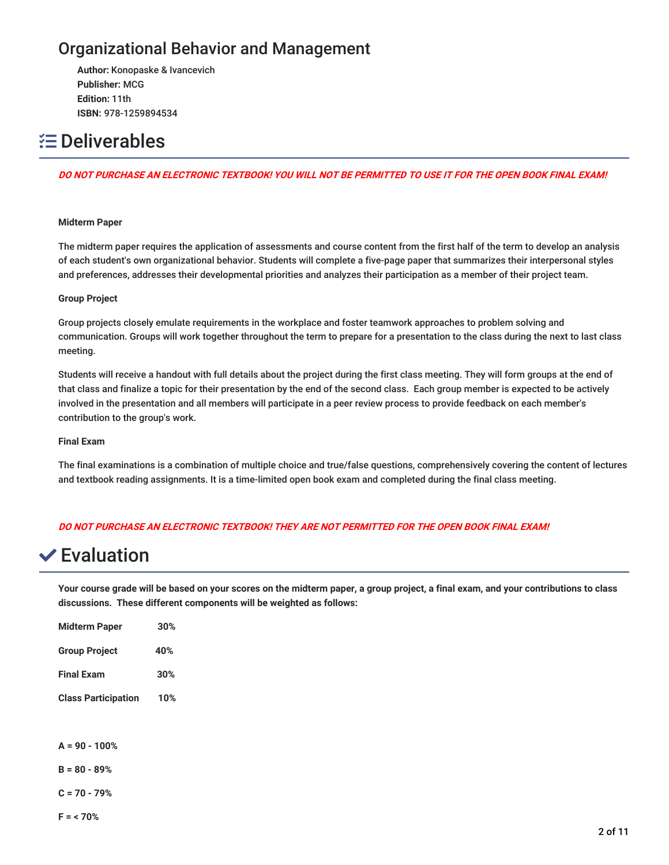## Organizational Behavior and Management

**Author:** Konopaske & Ivancevich **Publisher:** MCG **Edition:** 11th **ISBN:** 978-1259894534

## **E** Deliverables

#### DO NOT PURCHASE AN ELECTRONIC TEXTBOOK! YOU WILL NOT BE PERMITTED TO USE IT FOR THE OPEN BOOK FINAL EXAM!

#### **Midterm Paper**

The midterm paper requires the application of assessments and course content from the first half of the term to develop an analysis of each student's own organizational behavior. Students will complete a five-page paper that summarizes their interpersonal styles and preferences, addresses their developmental priorities and analyzes their participation as a member of their project team.

#### **Group Project**

Group projects closely emulate requirements in the workplace and foster teamwork approaches to problem solving and communication. Groups will work together throughout the term to prepare for a presentation to the class during the next to last class meeting.

Students will receive a handout with full details about the project during the first class meeting. They will form groups at the end of that class and finalize a topic for their presentation by the end of the second class. Each group member is expected to be actively involved in the presentation and all members will participate in a peer review process to provide feedback on each member's contribution to the group's work.

#### **Final Exam**

The final examinations is a combination of multiple choice and true/false questions, comprehensively covering the content of lectures and textbook reading assignments. It is a time-limited open book exam and completed during the final class meeting.

#### **DO NOT PURCHASE AN ELECTRONIC TEXTBOOK! THEY ARE NOT PERMITTED FOR THE OPEN BOOK FINAL EXAM!**

## $∨$  **Evaluation**

Your course grade will be based on your scores on the midterm paper, a group project, a final exam, and your contributions to class **discussions. These different components will be weighted as follows:**

| <b>Midterm Paper</b>       | 30% |
|----------------------------|-----|
| <b>Group Project</b>       | 40% |
| <b>Final Exam</b>          | 30% |
| <b>Class Participation</b> | 10% |

**A = 90 - 100%**

**B = 80 - 89%**

**C = 70 - 79%**

**F = < 70%**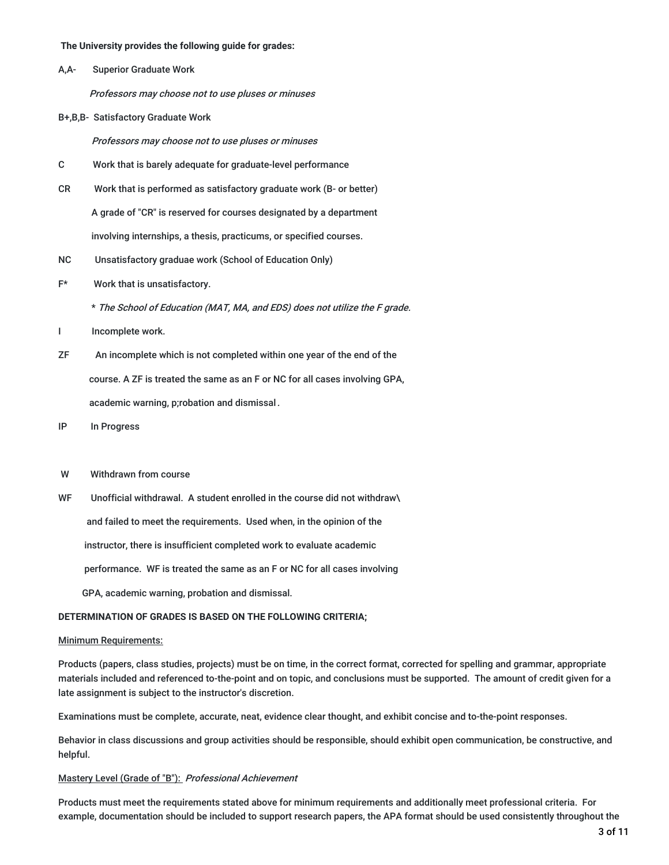**The University provides the following guide for grades:**

A,A- Superior Graduate Work

Professors may choose not to use pluses or minuses

B+,B,B- Satisfactory Graduate Work

Professors may choose not to use pluses or minuses

- C Work that is barely adequate for graduate-level performance
- CR Work that is performed as satisfactory graduate work (B- or better) A grade of "CR" is reserved for courses designated by a department involving internships, a thesis, practicums, or specified courses.
- NC Unsatisfactory graduae work (School of Education Only)
- F\* Work that is unsatisfactory.

\* The School of Education (MAT, MA, and EDS) does not utilize the <sup>F</sup> grade.

- I Incomplete work.
- ZF An incomplete which is not completed within one year of the end of the course. A ZF is treated the same as an F or NC for all cases involving GPA, academic warning, p;robation and dismissal.
- IP In Progress
- W Withdrawn from course
- WF Unofficial withdrawal. A student enrolled in the course did not withdraw\ and failed to meet the requirements. Used when, in the opinion of the instructor, there is insufficient completed work to evaluate academic performance. WF is treated the same as an F or NC for all cases involving
	- GPA, academic warning, probation and dismissal.

#### **DETERMINATION OF GRADES IS BASED ON THE FOLLOWING CRITERIA;**

#### Minimum Requirements:

Products (papers, class studies, projects) must be on time, in the correct format, corrected for spelling and grammar, appropriate materials included and referenced to-the-point and on topic, and conclusions must be supported. The amount of credit given for a late assignment is subject to the instructor's discretion.

Examinations must be complete, accurate, neat, evidence clear thought, and exhibit concise and to-the-point responses.

Behavior in class discussions and group activities should be responsible, should exhibit open communication, be constructive, and helpful.

#### Mastery Level (Grade of "B"): Professional Achievement

Products must meet the requirements stated above for minimum requirements and additionally meet professional criteria. For example, documentation should be included to support research papers, the APA format should be used consistently throughout the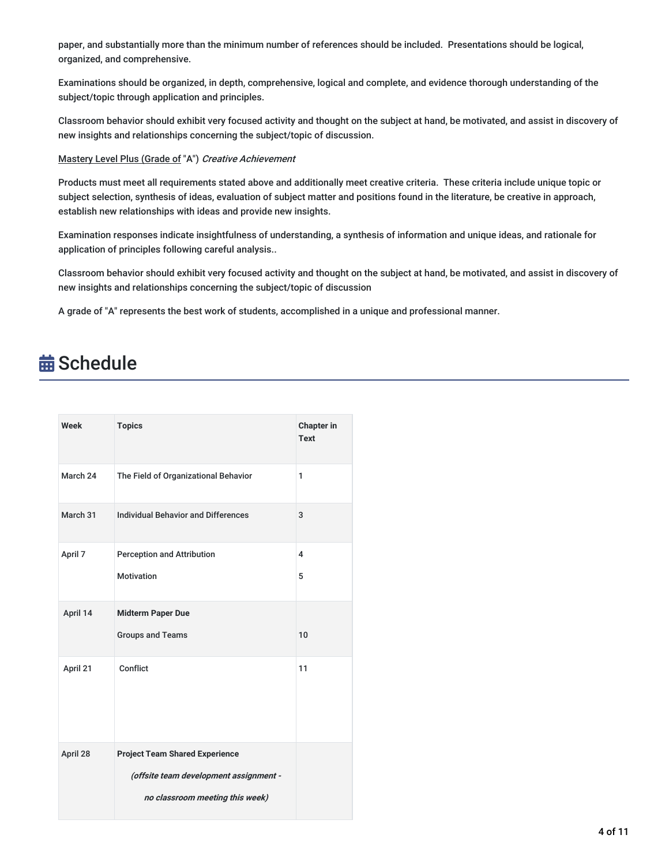paper, and substantially more than the minimum number of references should be included. Presentations should be logical, organized, and comprehensive.

Examinations should be organized, in depth, comprehensive, logical and complete, and evidence thorough understanding of the subject/topic through application and principles.

Classroom behavior should exhibit very focused activity and thought on the subject at hand, be motivated, and assist in discovery of new insights and relationships concerning the subject/topic of discussion.

#### Mastery Level Plus (Grade of "A") Creative Achievement

Products must meet all requirements stated above and additionally meet creative criteria. These criteria include unique topic or subject selection, synthesis of ideas, evaluation of subject matter and positions found in the literature, be creative in approach, establish new relationships with ideas and provide new insights.

Examination responses indicate insightfulness of understanding, a synthesis of information and unique ideas, and rationale for application of principles following careful analysis..

Classroom behavior should exhibit very focused activity and thought on the subject at hand, be motivated, and assist in discovery of new insights and relationships concerning the subject/topic of discussion

A grade of "A" represents the best work of students, accomplished in a unique and professional manner.

## **苗 Schedule**

| Week     | <b>Topics</b>                              | <b>Chapter in</b><br><b>Text</b> |
|----------|--------------------------------------------|----------------------------------|
| March 24 | The Field of Organizational Behavior       | $\mathbf{1}$                     |
| March 31 | <b>Individual Behavior and Differences</b> | 3                                |
| April 7  | <b>Perception and Attribution</b>          | 4                                |
|          | <b>Motivation</b>                          | 5                                |
| April 14 | <b>Midterm Paper Due</b>                   |                                  |
|          | <b>Groups and Teams</b>                    | 10                               |
| April 21 | Conflict                                   | 11                               |
| April 28 | <b>Project Team Shared Experience</b>      |                                  |
|          | (offsite team development assignment -     |                                  |
|          | no classroom meeting this week)            |                                  |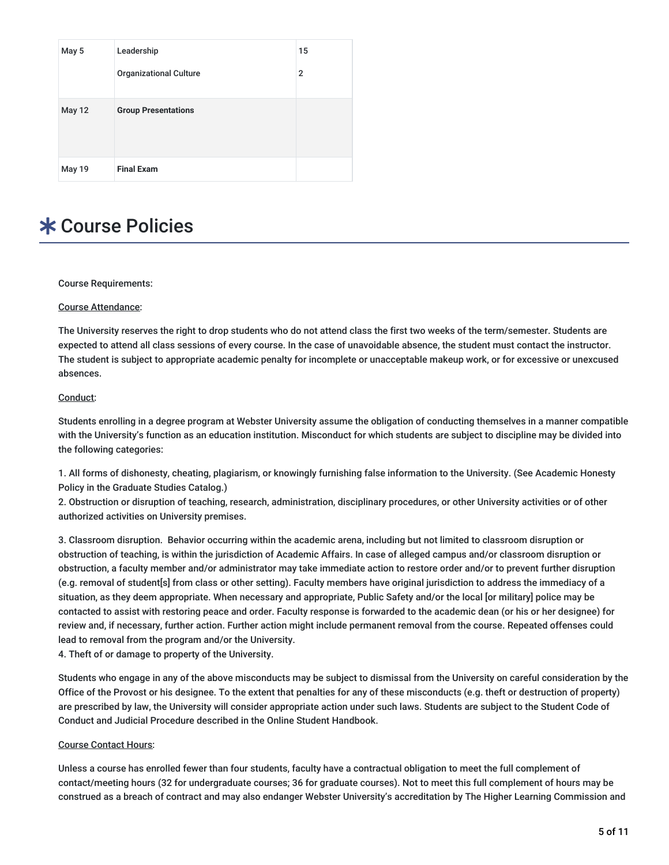| May 5         | Leadership                    | 15             |
|---------------|-------------------------------|----------------|
|               | <b>Organizational Culture</b> | $\overline{2}$ |
| <b>May 12</b> | <b>Group Presentations</b>    |                |
| <b>May 19</b> | <b>Final Exam</b>             |                |

## **\* Course Policies**

Course Requirements:

#### Course Attendance:

The University reserves the right to drop students who do not attend class the first two weeks of the term/semester. Students are expected to attend all class sessions of every course. In the case of unavoidable absence, the student must contact the instructor. The student is subject to appropriate academic penalty for incomplete or unacceptable makeup work, or for excessive or unexcused absences.

#### Conduct:

Students enrolling in a degree program at Webster University assume the obligation of conducting themselves in a manner compatible with the University's function as an education institution. Misconduct for which students are subject to discipline may be divided into the following categories:

1. All forms of dishonesty, cheating, plagiarism, or knowingly furnishing false information to the University. (See Academic Honesty Policy in the Graduate Studies Catalog.)

2. Obstruction or disruption of teaching, research, administration, disciplinary procedures, or other University activities or of other authorized activities on University premises.

3. Classroom disruption. Behavior occurring within the academic arena, including but not limited to classroom disruption or obstruction of teaching, is within the jurisdiction of Academic Affairs. In case of alleged campus and/or classroom disruption or obstruction, a faculty member and/or administrator may take immediate action to restore order and/or to prevent further disruption (e.g. removal of student[s] from class or other setting). Faculty members have original jurisdiction to address the immediacy of a situation, as they deem appropriate. When necessary and appropriate, Public Safety and/or the local [or military] police may be contacted to assist with restoring peace and order. Faculty response is forwarded to the academic dean (or his or her designee) for review and, if necessary, further action. Further action might include permanent removal from the course. Repeated offenses could lead to removal from the program and/or the University.

4. Theft of or damage to property of the University.

Students who engage in any of the above misconducts may be subject to dismissal from the University on careful consideration by the Office of the Provost or his designee. To the extent that penalties for any of these misconducts (e.g. theft or destruction of property) are prescribed by law, the University will consider appropriate action under such laws. Students are subject to the Student Code of Conduct and Judicial Procedure described in the Online Student Handbook.

#### Course Contact Hours:

Unless a course has enrolled fewer than four students, faculty have a contractual obligation to meet the full complement of contact/meeting hours (32 for undergraduate courses; 36 for graduate courses). Not to meet this full complement of hours may be construed as a breach of contract and may also endanger Webster University's accreditation by The Higher Learning Commission and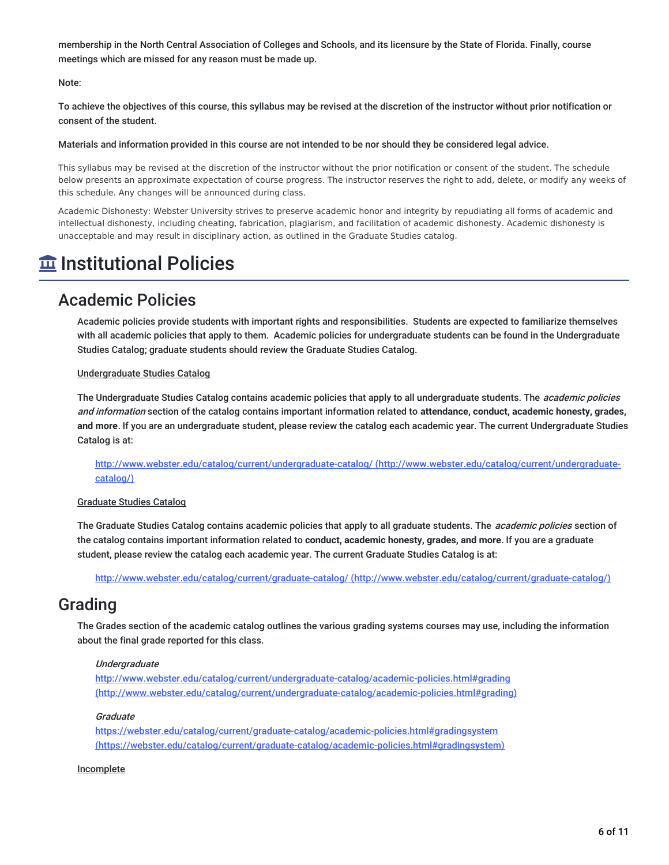membership in the North Central Association of Colleges and Schools, and its licensure by the State of Florida. Finally, course meetings which are missed for any reason must be made up.

#### Note:

To achieve the objectives of this course, this syllabus may be revised at the discretion of the instructor without prior notification or consent of the student.

#### Materials and information provided in this course are not intended to be nor should they be considered legal advice.

This syllabus may be revised at the discretion of the instructor without the prior notification or consent of the student. The schedule below presents an approximate expectation of course progress. The instructor reserves the right to add, delete, or modify any weeks of this schedule. Any changes will be announced during class.

Academic Dishonesty: Webster University strives to preserve academic honor and integrity by repudiating all forms of academic and intellectual dishonesty, including cheating, fabrication, plagiarism, and facilitation of academic dishonesty. Academic dishonesty is unacceptable and may result in disciplinary action, as outlined in the Graduate Studies catalog.

## **Institutional Policies**

### Academic Policies

Academic policies provide students with important rights and responsibilities. Students are expected to familiarize themselves with all academic policies that apply to them. Academic policies for undergraduate students can be found in the Undergraduate Studies Catalog; graduate students should review the Graduate Studies Catalog.

#### Undergraduate Studies Catalog

The Undergraduate Studies Catalog contains academic policies that apply to all undergraduate students. The *academic policies* and information section of the catalog contains important information related to **attendance, conduct, academic honesty, grades, and more**. If you are an undergraduate student, please review the catalog each academic year. The current Undergraduate Studies Catalog is at:

<http://www.webster.edu/catalog/current/undergraduate-catalog/> (http://www.webster.edu/catalog/current/undergraduatecatalog/)

#### Graduate Studies Catalog

The Graduate Studies Catalog contains academic policies that apply to all graduate students. The *academic policies* section of the catalog contains important information related to **conduct, academic honesty, grades, and more**. If you are a graduate student, please review the catalog each academic year. The current Graduate Studies Catalog is at:

http://www.webster.edu/catalog/current/graduate-catalog/ [\(http://www.webster.edu/catalog/current/graduate-catalog/\)](http://www.webster.edu/catalog/current/graduate-catalog/)

### Grading

The Grades section of the academic catalog outlines the various grading systems courses may use, including the information about the final grade reported for this class.

#### **Undergraduate**

<http://www.webster.edu/catalog/current/undergraduate-catalog/academic-policies.html#grading> (http://www.webster.edu/catalog/current/undergraduate-catalog/academic-policies.html#grading)

#### Graduate

<https://webster.edu/catalog/current/graduate-catalog/academic-policies.html#gradingsystem> (https://webster.edu/catalog/current/graduate-catalog/academic-policies.html#gradingsystem)

#### **Incomplete**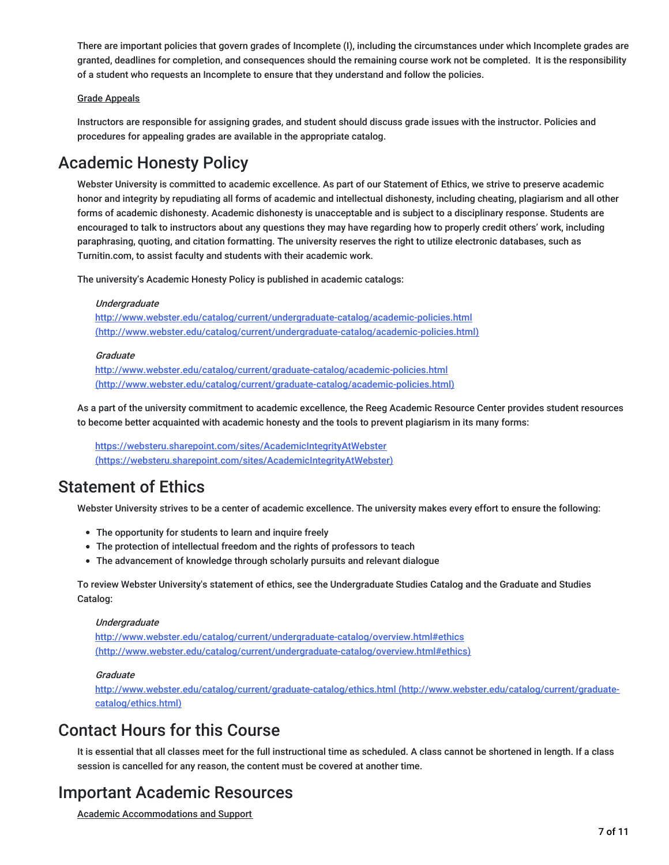There are important policies that govern grades of Incomplete (I), including the circumstances under which Incomplete grades are granted, deadlines for completion, and consequences should the remaining course work not be completed. It is the responsibility of a student who requests an Incomplete to ensure that they understand and follow the policies.

#### Grade Appeals

Instructors are responsible for assigning grades, and student should discuss grade issues with the instructor. Policies and procedures for appealing grades are available in the appropriate catalog.

### Academic Honesty Policy

Webster University is committed to academic excellence. As part of our Statement of Ethics, we strive to preserve academic honor and integrity by repudiating all forms of academic and intellectual dishonesty, including cheating, plagiarism and all other forms of academic dishonesty. Academic dishonesty is unacceptable and is subject to a disciplinary response. Students are encouraged to talk to instructors about any questions they may have regarding how to properly credit others' work, including paraphrasing, quoting, and citation formatting. The university reserves the right to utilize electronic databases, such as Turnitin.com, to assist faculty and students with their academic work.

The university's Academic Honesty Policy is published in academic catalogs:

#### Undergraduate

http://www.webster.edu/catalog/current/undergraduate-catalog/academic-policies.html [\(http://www.webster.edu/catalog/current/undergraduate-catalog/academic-policies.html\)](http://www.webster.edu/catalog/current/undergraduate-catalog/academic-policies.html)

#### **Graduate**

http://www.webster.edu/catalog/current/graduate-catalog/academic-policies.html [\(http://www.webster.edu/catalog/current/graduate-catalog/academic-policies.html\)](http://www.webster.edu/catalog/current/graduate-catalog/academic-policies.html)

As a part of the university commitment to academic excellence, the Reeg Academic Resource Center provides student resources to become better acquainted with academic honesty and the tools to prevent plagiarism in its many forms:

<https://websteru.sharepoint.com/sites/AcademicIntegrityAtWebster> (https://websteru.sharepoint.com/sites/AcademicIntegrityAtWebster)

### Statement of Ethics

Webster University strives to be a center of academic excellence. The university makes every effort to ensure the following:

- The opportunity for students to learn and inquire freely
- The protection of intellectual freedom and the rights of professors to teach
- The advancement of knowledge through scholarly pursuits and relevant dialogue

To review Webster University's statement of ethics, see the Undergraduate Studies Catalog and the Graduate and Studies Catalog:

#### **Undergraduate**

<http://www.webster.edu/catalog/current/undergraduate-catalog/overview.html#ethics> (http://www.webster.edu/catalog/current/undergraduate-catalog/overview.html#ethics)

#### **Graduate**

<http://www.webster.edu/catalog/current/graduate-catalog/ethics.html> (http://www.webster.edu/catalog/current/graduatecatalog/ethics.html)

### Contact Hours for this Course

It is essential that all classes meet for the full instructional time as scheduled. A class cannot be shortened in length. If a class session is cancelled for any reason, the content must be covered at another time.

### Important Academic Resources

Academic Accommodations and Support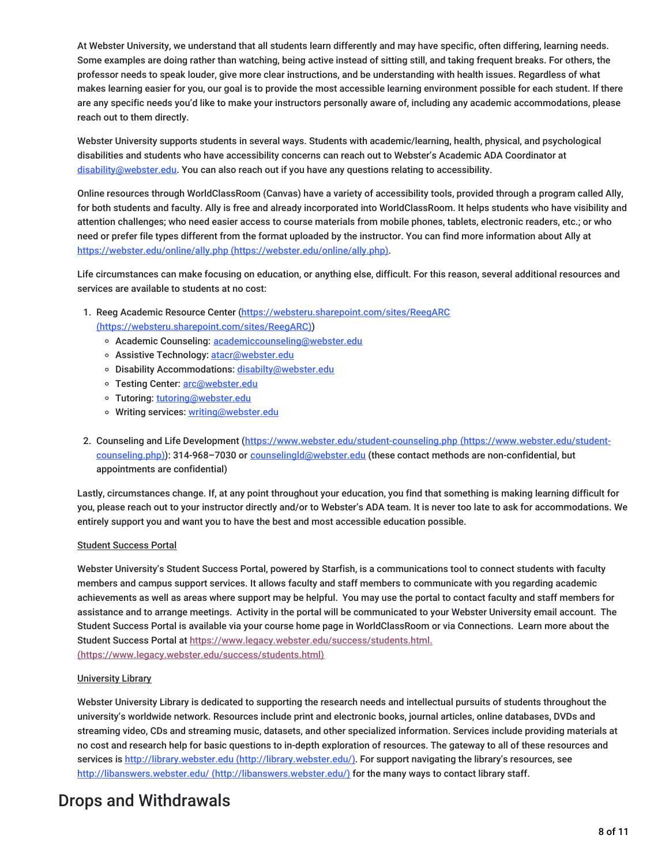At Webster University, we understand that all students learn differently and may have specific, often differing, learning needs. Some examples are doing rather than watching, being active instead of sitting still, and taking frequent breaks. For others, the professor needs to speak louder, give more clear instructions, and be understanding with health issues. Regardless of what makes learning easier for you, our goal is to provide the most accessible learning environment possible for each student. If there are any specific needs you'd like to make your instructors personally aware of, including any academic accommodations, please reach out to them directly.

Webster University supports students in several ways. Students with academic/learning, health, physical, and psychological disabilities and students who have accessibility concerns can reach out to Webster's Academic ADA Coordinator at [disability@webster.edu](mailto:disability@webster.edu). You can also reach out if you have any questions relating to accessibility.

Online resources through WorldClassRoom (Canvas) have a variety of accessibility tools, provided through a program called Ally, for both students and faculty. Ally is free and already incorporated into WorldClassRoom. It helps students who have visibility and attention challenges; who need easier access to course materials from mobile phones, tablets, electronic readers, etc.; or who need or prefer file types different from the format uploaded by the instructor. You can find more information about Ally at https://webster.edu/online/ally.php [\(https://webster.edu/online/ally.php\)](https://webster.edu/online/ally.php).

Life circumstances can make focusing on education, or anything else, difficult. For this reason, several additional resources and services are available to students at no cost:

- 1. Reeg Academic Resource Center (https://websteru.sharepoint.com/sites/ReegARC [\(https://websteru.sharepoint.com/sites/ReegARC\)\)](https://websteru.sharepoint.com/sites/ReegARC)
	- o Academic Counseling: [academiccounseling@webster.edu](mailto:academiccounseling@webster.edu)
	- o Assistive Technology: [atacr@webster.edu](mailto:atacr@webster.edu)
	- o Disability Accommodations: [disabilty@webster.edu](mailto:disabilty@webster.edu)
	- o Testing Center: [arc@webster.edu](mailto:arc@webster.edu)
	- Tutoring: [tutoring@webster.edu](mailto:tutoring@webster.edu)
	- o Writing services: [writing@webster.edu](mailto:writing@webster.edu)
- 2. Counseling and Life Development [\(https://www.webster.edu/student-counseling.php](https://www.webster.edu/student-counseling.php) (https://www.webster.edu/studentcounseling.php)): 314-968–7030 or [counselingld@webster.edu](mailto:counselingld@webster.edu) (these contact methods are non-confidential, but appointments are confidential)

Lastly, circumstances change. If, at any point throughout your education, you find that something is making learning difficult for you, please reach out to your instructor directly and/or to Webster's ADA team. It is never too late to ask for accommodations. We entirely support you and want you to have the best and most accessible education possible.

#### Student Success Portal

Webster University's Student Success Portal, powered by Starfish, is a communications tool to connect students with faculty members and campus support services. It allows faculty and staff members to communicate with you regarding academic achievements as well as areas where support may be helpful. You may use the portal to contact faculty and staff members for assistance and to arrange meetings. Activity in the portal will be communicated to your Webster University email account. The Student Success Portal is available via your course home page in WorldClassRoom or via Connections. Learn more about the Student Success Portal at [https://www.legacy.webster.edu/success/students.html.](https://www.legacy.webster.edu/success/students.html)

(https://www.legacy.webster.edu/success/students.html)

#### University Library

Webster University Library is dedicated to supporting the research needs and intellectual pursuits of students throughout the university's worldwide network. Resources include print and electronic books, journal articles, online databases, DVDs and streaming video, CDs and streaming music, datasets, and other specialized information. Services include providing materials at no cost and research help for basic questions to in-depth exploration of resources. The gateway to all of these resources and services is http://library.webster.edu [\(http://library.webster.edu/\)](http://library.webster.edu/). For support navigating the library's resources, see http://libanswers.webster.edu/ [\(http://libanswers.webster.edu/\)](http://libanswers.webster.edu/) for the many ways to contact library staff.

### Drops and Withdrawals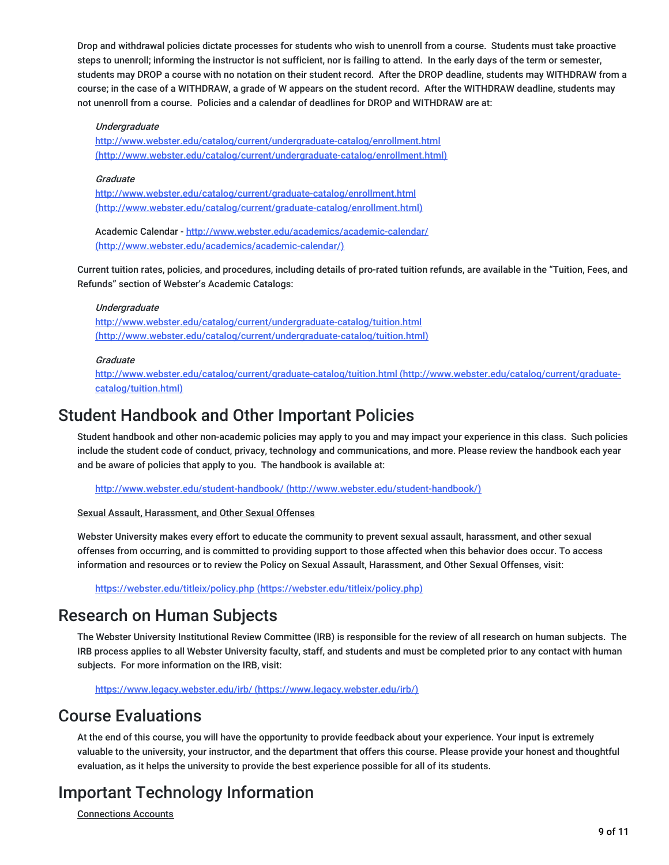Drop and withdrawal policies dictate processes for students who wish to unenroll from a course. Students must take proactive steps to unenroll; informing the instructor is not sufficient, nor is failing to attend. In the early days of the term or semester, students may DROP a course with no notation on their student record. After the DROP deadline, students may WITHDRAW from a course; in the case of a WITHDRAW, a grade of W appears on the student record. After the WITHDRAW deadline, students may not unenroll from a course. Policies and a calendar of deadlines for DROP and WITHDRAW are at:

#### Undergraduate

<http://www.webster.edu/catalog/current/undergraduate-catalog/enrollment.html> (http://www.webster.edu/catalog/current/undergraduate-catalog/enrollment.html)

#### **Graduate**

http://www.webster.edu/catalog/current/graduate-catalog/enrollment.html [\(http://www.webster.edu/catalog/current/graduate-catalog/enrollment.html\)](http://www.webster.edu/catalog/current/graduate-catalog/enrollment.html)

Academic Calendar - http://www.webster.edu/academics/academic-calendar/ [\(http://www.webster.edu/academics/academic-calendar/\)](http://www.webster.edu/academics/academic-calendar/)

Current tuition rates, policies, and procedures, including details of pro-rated tuition refunds, are available in the "Tuition, Fees, and Refunds" section of Webster's Academic Catalogs:

#### Undergraduate

http://www.webster.edu/catalog/current/undergraduate-catalog/tuition.html [\(http://www.webster.edu/catalog/current/undergraduate-catalog/tuition.html\)](http://www.webster.edu/catalog/current/undergraduate-catalog/tuition.html)

#### **Graduate**

<http://www.webster.edu/catalog/current/graduate-catalog/tuition.html> (http://www.webster.edu/catalog/current/graduatecatalog/tuition.html)

### Student Handbook and Other Important Policies

Student handbook and other non-academic policies may apply to you and may impact your experience in this class. Such policies include the student code of conduct, privacy, technology and communications, and more. Please review the handbook each year and be aware of policies that apply to you. The handbook is available at:

http://www.webster.edu/student-handbook/ [\(http://www.webster.edu/student-handbook/\)](http://www.webster.edu/student-handbook/)

#### Sexual Assault, Harassment, and Other Sexual Offenses

Webster University makes every effort to educate the community to prevent sexual assault, harassment, and other sexual offenses from occurring, and is committed to providing support to those affected when this behavior does occur. To access information and resources or to review the Policy on Sexual Assault, Harassment, and Other Sexual Offenses, visit:

https://webster.edu/titleix/policy.php [\(https://webster.edu/titleix/policy.php\)](https://webster.edu/titleix/policy.php)

### Research on Human Subjects

The Webster University Institutional Review Committee (IRB) is responsible for the review of all research on human subjects. The IRB process applies to all Webster University faculty, staff, and students and must be completed prior to any contact with human subjects. For more information on the IRB, visit:

https://www.legacy.webster.edu/irb/ [\(https://www.legacy.webster.edu/irb/\)](https://www.legacy.webster.edu/irb/)

### Course Evaluations

At the end of this course, you will have the opportunity to provide feedback about your experience. Your input is extremely valuable to the university, your instructor, and the department that offers this course. Please provide your honest and thoughtful evaluation, as it helps the university to provide the best experience possible for all of its students.

## Important Technology Information

Connections Accounts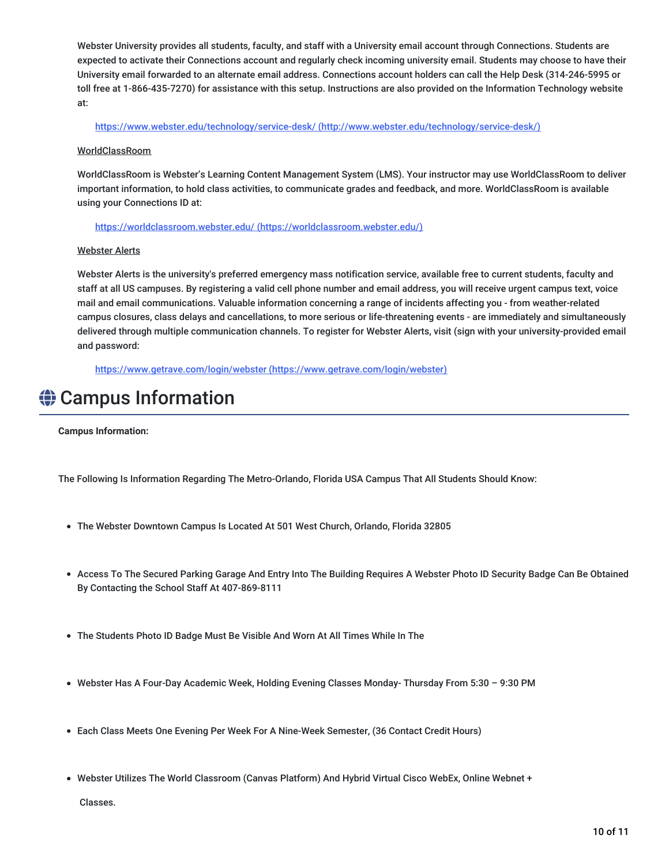Webster University provides all students, faculty, and staff with a University email account through Connections. Students are expected to activate their Connections account and regularly check incoming university email. Students may choose to have their University email forwarded to an alternate email address. Connections account holders can call the Help Desk (314-246-5995 or toll free at 1-866-435-7270) for assistance with this setup. Instructions are also provided on the Information Technology website at:

https://www.webster.edu/technology/service-desk/ [\(http://www.webster.edu/technology/service-desk/\)](http://www.webster.edu/technology/service-desk/)

#### WorldClassRoom

WorldClassRoom is Webster's Learning Content Management System (LMS). Your instructor may use WorldClassRoom to deliver important information, to hold class activities, to communicate grades and feedback, and more. WorldClassRoom is available using your Connections ID at:

https://worldclassroom.webster.edu/ [\(https://worldclassroom.webster.edu/\)](https://worldclassroom.webster.edu/)

#### Webster Alerts

Webster Alerts is the university's preferred emergency mass notification service, available free to current students, faculty and staff at all US campuses. By registering a valid cell phone number and email address, you will receive urgent campus text, voice mail and email communications. Valuable information concerning a range of incidents affecting you - from weather-related campus closures, class delays and cancellations, to more serious or life-threatening events - are immediately and simultaneously delivered through multiple communication channels. To register for Webster Alerts, visit (sign with your university-provided email and password:

https://www.getrave.com/login/webster [\(https://www.getrave.com/login/webster\)](https://www.getrave.com/login/webster)

## **♦ Campus Information**

**Campus Information:**

The Following Is Information Regarding The Metro-Orlando, Florida USA Campus That All Students Should Know:

- The Webster Downtown Campus Is Located At 501 West Church, Orlando, Florida 32805
- Access To The Secured Parking Garage And Entry Into The Building Requires A Webster Photo ID Security Badge Can Be Obtained By Contacting the School Staff At 407-869-8111
- The Students Photo ID Badge Must Be Visible And Worn At All Times While In The
- Webster Has A Four-Day Academic Week, Holding Evening Classes Monday- Thursday From 5:30 9:30 PM
- Each Class Meets One Evening Per Week For A Nine-Week Semester, (36 Contact Credit Hours)
- Webster Utilizes The World Classroom (Canvas Platform) And Hybrid Virtual Cisco WebEx, Online Webnet +

Classes.